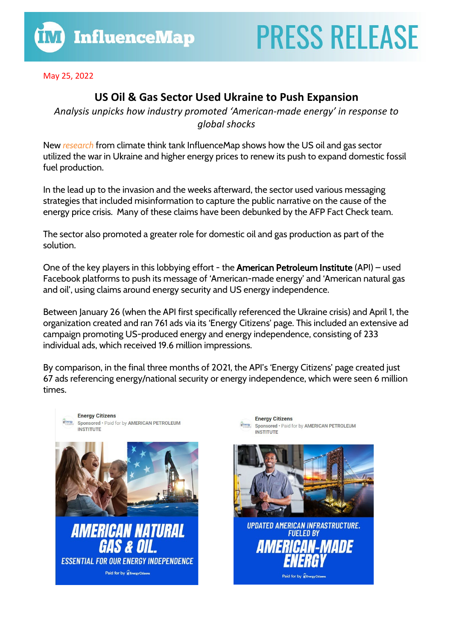May 25, 2022

## **US Oil & Gas Sector Used Ukraine to Push Expansion**

*Analysis unpicks how industry promoted 'American-made energy' in response to global shocks*

New *[research](https://influencemap.org/report/US-Oil-and-Gas-and-the-War-in-Ukraine-19009)* from climate think tank InfluenceMap shows how the US oil and gas sector utilized the war in Ukraine and higher energy prices to renew its push to expand domestic fossil fuel production.

In the lead up to the invasion and the weeks afterward, the sector used various messaging strategies that included misinformation to capture the public narrative on the cause of the energy price crisis. Many of these claims have been debunked by the AFP Fact Check team.

The sector also promoted a greater role for domestic oil and gas production as part of the solution.

One of the key players in this lobbying effort - the American Petroleum Institute (API) – used Facebook platforms to push its message of 'American-made energy' and 'American natural gas and oil', using claims around energy security and US energy independence.

Between January 26 (when the API first specifically referenced the Ukraine crisis) and April 1, the organization created and ran 761 ads via its 'Energy Citizens' page. This included an extensive ad campaign promoting US-produced energy and energy independence, consisting of 233 individual ads, which received 19.6 million impressions.

By comparison, in the final three months of 2021, the API's 'Energy Citizens' page created just 67 ads referencing energy/national security or energy independence, which were seen 6 million times.



**Energy Citizens WEDGERY Sponsored . Paid for by AMERICAN PETROLEUM INSTITUTE** 



**UPDATED AMERICAN INFRASTRUCTURE. FUELED BY AMERICAN-MADE** 

Paid for by WEnergyCit